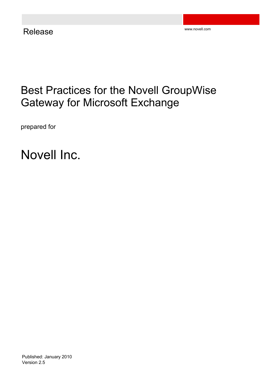# Best Practices for the Novell GroupWise Gateway for Microsoft Exchange

prepared for

Novell Inc.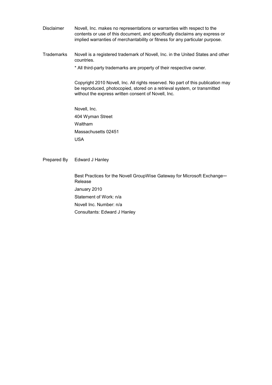Disclaimer Novell, Inc. makes no representations or warranties with respect to the contents or use of this document, and specifically disclaims any express or implied warranties of merchantability or fitness for any particular purpose.

Trademarks Novell is a registered trademark of Novell, Inc. in the United States and other countries.

\* All third-party trademarks are property of their respective owner.

Copyright 2010 Novell, Inc. All rights reserved. No part of this publication may be reproduced, photocopied, stored on a retrieval system, or transmitted without the express written consent of Novell, Inc.

Novell, Inc. 404 Wyman Street Waltham Massachusetts 02451 USA

Prepared By Edward J Hanley

Best Practices for the Novell GroupWise Gateway for Microsoft Exchange— Release January 2010 Statement of Work: n/a Novell Inc. Number: n/a Consultants: Edward J Hanley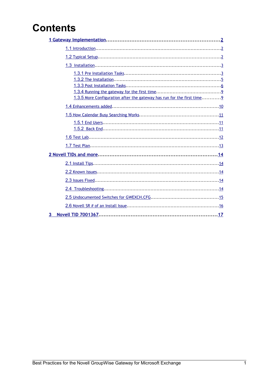# **Contents**

| 1.3.5 More Configuration after the gateway has run for the first time |
|-----------------------------------------------------------------------|
|                                                                       |
|                                                                       |
|                                                                       |
|                                                                       |
|                                                                       |
|                                                                       |
|                                                                       |
|                                                                       |
|                                                                       |
|                                                                       |
|                                                                       |
|                                                                       |
| 3                                                                     |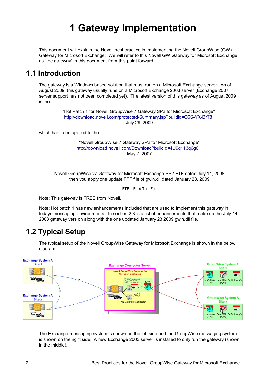# <span id="page-3-0"></span>**1 Gateway Implementation**

This document will explain the Novell best practice in implementing the Novell GroupWise (GW) Gateway for Microsoft Exchange. We will refer to this Novell GW Gateway for Microsoft Exchange as "the gateway" in this document from this point forward.

### <span id="page-3-2"></span>**1.1 Introduction**

The gateway is a Windows based solution that must run on a Microsoft Exchange server. As of August 2009, this gateway usually runs on a Microsoft Exchange 2003 server (Exchange 2007 server support has not been completed yet). The latest version of this gateway as of August 2009 is the

> "Hot Patch 1 for Novell GroupWise 7 Gateway SP2 for Microsoft Exchange" [http://download.novell.com/protected/Summary.jsp?buildid=O6S-YX-BrT8~](http://download.novell.com/protected/Summary.jsp?buildid=O6S-YX-BrT8) July 29, 2009

which has to be applied to the

"Novell GroupWise 7 Gateway SP2 for Microsoft Exchange" http://download.novell.com/Download?buildid=4U9q113q6q0~ May 7, 2007

Novell GroupWise v7 Gateway for Microsoft Exchange SP2 FTF dated July 14, 2008 then you apply one update FTF file of gwin.dll dated January 23, 2009

FTF = Field Test File

Note: This gateway is FREE from Novell.

Note: Hot patch 1 has new enhancements included that are used to implement this gateway in todays messaging environments. In section 2.3 is a list of enhancements that make up the July 14, 2008 gateway version along with the one updated January 23 2009 gwin.dll file.

# <span id="page-3-1"></span>**1.2 Typical Setup**

The typical setup of the Novell GroupWise Gateway for Microsoft Exchange is shown in the below diagram.



The Exchange messaging system is shown on the left side and the GroupWise messaging system is shown on the right side. A new Exchange 2003 server is installed to only run the gateway (shown in the middle).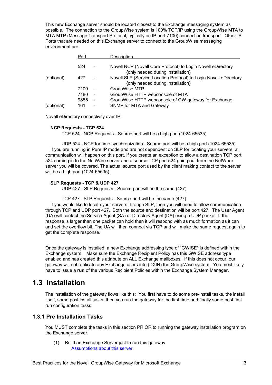This new Exchange server should be located closest to the Exchange messaging system as possible. The connection to the GroupWise system is 100% TCP/IP using the GroupWise MTA to MTA MTP (Message Transport Protocol, typically on IP port 7100) connection transport. Other IP Ports that are needed on this Exchange server to connect to the GroupWise messaging environment are:

|            | Port        |                                   | <b>Description</b>                                                                                     |
|------------|-------------|-----------------------------------|--------------------------------------------------------------------------------------------------------|
|            | 524         | $\sim$                            | Novell NCP (Novell Core Protocol) to Login Novell eDirectory<br>{only needed during installation}      |
| (optional) | 427         | $\blacksquare$                    | Novell SLP (Service Location Protocol) to Login Novell eDirectory<br>{only needed during installation} |
|            | 7100        |                                   | GroupWise MTP                                                                                          |
|            | 7180        | $\blacksquare$                    | GroupWise HTTP webconsole of MTA                                                                       |
| (optional) | 9855<br>161 | $\blacksquare$<br>$\qquad \qquad$ | GroupWise HTTP webconsole of GW gateway for Exchange<br>SNMP for MTA and Gateway                       |

Novell eDirectory connectivity over IP:

#### **NCP Requests - TCP 524**

TCP 524 - NCP Requests - Source port will be a high port (1024-65535)

UDP 524 - NCP for time synchronization - Source port will be a high port (1024-65535) If you are running in Pure IP mode and are not dependent on SLP for locating your servers, all communication will happen on this port. If you create an exception to allow a destination TCP port 524 coming in to the NetWare server and a source TCP port 524 going out from the NetWare server you will be covered. The actual source port used by the client making contact to the server will be a high port (1024-65535).

### **SLP Requests - TCP & UDP 427**

UDP 427 - SLP Requests - Source port will be the same (427)

TCP 427 - SLP Requests - Source port will be the same (427)

If you would like to locate your servers through SLP, then you will need to allow communication through TCP and UDP port 427. Both the source and destination will be port 427. The User Agent (UA) will contact the Service Agent (SA) or Directory Agent (DA) using a UDP packet. If the response is larger than one packet can hold then it will respond with as much formation as it can and set the overflow bit. The UA will then connect via TCP and will make the same request again to get the complete response.

Once the gateway is installed, a new Exchange addressing type of "GWISE" is defined within the Exchange system. Make sure the Exchange Recipient Policy has this GWISE address type enabled and has created this attribute on ALL Exchange mailboxes. If this does not occur, our gateway will not replicate any Exchange users into (DXIN) the GroupWise system. You most likely have to issue a **run** of the various Recipient Policies within the Exchange System Manager.

## <span id="page-4-1"></span>**1.3 Installation**

The installation of the gateway flows like this: You first have to do some pre-install tasks, the install itself, some post install tasks, then you run the gateway for the first time and finally some post first run configuration tasks.

### **1.3.1 Pre Installation Tasks**

<span id="page-4-0"></span>You MUST complete the tasks in this section PRIOR to running the gateway installation program on the Exchange server.

(1) Build an Exchange Server just to run this gateway Assumptions about this server: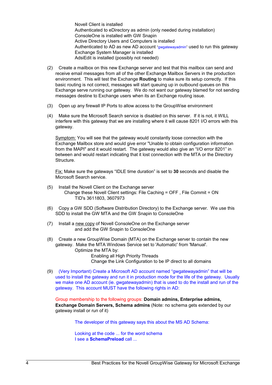Novell Client is installed Authenticated to eDirectory as admin (only needed during installation) ConsoleOne is installed with GW Snapin Active Directory Users and Computers is installed Authenticated to AD as new AD account "gwgatewayadmin" used to run this gateway Exchange System Manager is installed AdsiEdit is installed (possibly not needed)

- (2) Create a mailbox on this new Exchange server and test that this mailbox can send and receive email messages from all of the other Exchange Mailbox Servers in the production environment. This will test the Exchange **Routing** to make sure its setup correctly. If this basic routing is not correct, messages will start queuing up in outbound queues on this Exchange serve running our gateway. We do not want our gateway blamed for not sending messages destine to Exchange users when its an Exchange routing issue.
- (3) Open up any firewall IP Ports to allow access to the GroupWise environment
- (4) Make sure the Microsoft Search service is disabled on this server. If it is not, it WILL interfere with this gateway that we are installing where it will cause 8201 I/O errors with this gateway.

Symptom: You will see that the gateway would constantly loose connection with the Exchange Mailbox store and would give error "Unable to obtain configuration information from the MAPI" and it would restart. The gateway would also give an "I/O error 8201" in between and would restart indicating that it lost connection with the MTA or the Directory Structure.

Fix: Make sure the gateways "IDLE time duration" is set to **30** seconds and disable the Microsoft Search service.

- (5) Install the Novell Client on the Exchange server Change these Novell Client settings: File Caching = OFF , File Commit = ON TID's 3611803, 3607973
- (6) Copy a GW SDD (Software Distribution Directory) to the Exchange server. We use this SDD to install the GW MTA and the GW Snapin to ConsoleOne
- (7) Install a new copy of Novell ConsoleOne on the Exchange server and add the GW Snapin to ConsoleOne
- (8) Create a new GroupWise Domain (MTA) on the Exchange server to contain the new gateway. Make the MTA Windows Service set to 'Automatic' from 'Manual'. Optimize the MTA by: Enabling all High Priority Threads Change the Link Configuration to be IP direct to all domains
- (9) (Very Important) Create a Microsoft AD account named "gwgatewayadmin" that will be used to install the gateway and run it in production mode for the life of the gateway. Usually we make one AD account (ie. gwgatewayadmin) that is used to do the install and run of the gateway. This account MUST have the following rights in AD:

Group membership to the following groups: **Domain admins, Enterprise admins, Exchange Domain Servers, Schema admins** (Note: no schema gets extended by our gateway install or run of it)

The developer of this gateway says this about the MS AD Schema:

Looking at the code ... for the word schema I see a **SchemaPreload** call ...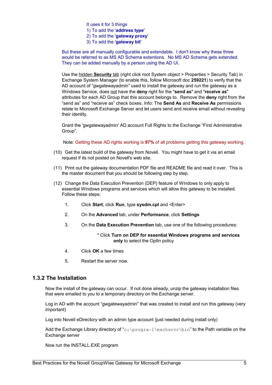It uses it for 3 things 1) To add the '**address type**' 2) To add the '**gateway proxy**' 3) To add the '**gateway bit**'

But these are all manually configurable and extendable. I don't know why these three would be referred to as MS AD Schema extentions. No MS AD Schema gets extended. They can be added manually by a person using the AD UI.

Use the hidden **Security** tab (right click root System object > Properties > Security Tab) in Exchange System Manager (to enable this, follow Microsoft doc **259221**) to verify that the AD account of "gwgatewayadmin" used to install the gateway and run the gateway as a Windows Service, does not have the **deny** right for the "**send as**" and "**receive as**" attributes for each AD Group that this account belongs to. Remove the **deny** right from the "send as" and "receive as" check boxes. Info: The **Send As** and **Receive As** permissions relate to Microsoft Exchange Server and let users send and receive email without revealing their identity.

Grant the 'gwgatewayadmin' AD account Full Rights to the Exchange "First Administrative Group".

Note: Getting these AD rights working is **97%** of all problems getting this gateway working.

- (10) Get the latest build of the gateway from Novell. You might have to get it via an email request if its not posted on Novell's web site.
- (11) Print out the gateway documentation PDF file and README file and read it over. This is the master document that you should be following step by step.
- (12) Change the Data Execution Prevention (DEP) feature of Windows to only apply to essential Windows programs and services which will allow this gateway to be installed. Follow these steps:
	- 1. Click **Start**, click **Run**, type **sysdm.cpl** and <Enter>
	- 2. On the **Advanced** tab, under **Performance**, click **Settings**
	- 3. On the **Data Execution Prevention** tab, use one of the following procedures:

### \* Click **Turn on DEP for essential Windows programs and services only** to select the OptIn policy

- 4. Click **OK** a few times
- 5. Restart the server now.

### **1.3.2 The Installation**

<span id="page-6-0"></span>Now the install of the gateway can occur. If not done already, unzip the gateway installation files that were emailed to you to a temporary directory on the Exchange server.

Log in AD with the account "gwgatewayadmin" that was created to install and run this gateway (very important)

Log into Novell eDirectory with an admin type account (just needed during install only)

Add the Exchange Library directory of "c: \progra~1\exchsrvr\bin" to the Path variable on the Exchange server

Now run the INSTALL.EXE program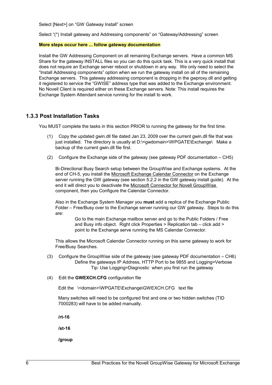Select [Next>] on "GW Gateway Install" screen

Select "(\*) Install gateway and Addressing components" on "Gateway/Addressing" screen

#### **More steps occur here ... follow gateway documentation**

Install the GW Addressing Component on all remaining Exchange servers. Have a common MS Share for the gateway INSTALL files so you can do this quick task. This is a very quick install that does not require an Exchange server reboot or shutdown in any way. We only need to select the "Install Addressing components" option when we run the gateway install on all of the remaining Exchange servers. This gateway addressing component is dropping in the gwproxy.dll and getting it registered to service the "GWISE" address type that was added to the Exchange environment. No Novell Client is required either on these Exchange servers. Note: This install requires the Exchange System Attendant service running for the install to work.

### **1.3.3 Post Installation Tasks**

<span id="page-7-0"></span>You MUST complete the tasks in this section PRIOR to running the gateway for the first time.

- (1) Copy the updated gwin.dll file dated Jan 23, 2009 over the current gwin.dll file that was just installed. The directory is usually at D:\<gwdomain>\WPGATE\Exchange\ Make a backup of the current gwin.dll file first.
- (2) Configure the Exchange side of the gateway (see gateway PDF documentation CH5)

Bi-Directional Busy Search setup between the GroupWise and Exchange systems. At the end of CH-5, you install the Microsoft Exchange Calendar Connector on the Exchange server running the GW gateway (see section 5.2.2 in the GW gateway install guide). At the end it will direct you to deactivate the Microsoft Connector for Novell GroupWise component, then you Configure the Calendar Connector.

Also in the Exchange System Manager you **must** add a replica of the Exchange Public Folder – Free/Busy over to the Exchange server running our GW gateway. Steps to do this are:

> Go to the main Exchange mailbox server and go to the Public Folders / Free and Busy info object. Right click Properties > Replication tab – click add > point to the Exchange serve running the MS Calendar Connector.

This allows the Microsoft Calendar Connector running on this same gateway to work for Free/Busy Searches.

- (3) Configure the GroupWise side of the gateway (see gateway PDF documentation CH6) Define the gateways IP Address, HTTP Port to be 9855 and Logging=Verbose Tip: Use Logging=Diagnostic when you first run the gateway
- (4) Edit the **GWEXCH.CFG** configuration file

Edit the \<domain>\WPGATE\Exchange\GWEXCH.CFG text file

Many switches will need to be configured first and one or two hidden switches (TID 7000283) will have to be added manually.

**/rt-16**

**/st-16**

**/group**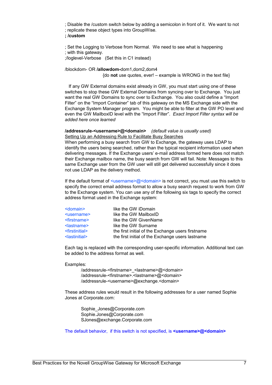; Disable the /custom switch below by adding a semicolon in front of it. We want to not ; replicate these object types into GroupWise.

#### **; /custom**

; Set the Logging to Verbose from Normal. We need to see what is happening ; with this gateway.

;/loglevel-Verbose (Set this in C1 instead)

/blockdom- OR **/allowdom-**dom1,dom2,dom4

{do **not** use quotes, ever! – example is WRONG in the text file}

 If any GW External domains exist already in GW, you must start using one of these switches to stop these GW External Domains from syncing over to Exchange. You just want the real GW Domains to sync over to Exchange. You also could define a "Import Filter" on the "Import Container" tab of this gateway on the MS Exchange side with the Exchange System Manager program. You might be able to filter at the GW PO level and even the GW MailboxID level with the "Import Filter". *Exact Import Filter syntax will be added here once learned*

#### **/addressrule-<username>@<domain>** *(default value is usually used)* Setting Up an Addressing Rule to Facilitate Busy Searches

When performing a busy search from GW to Exchange, the gateway uses LDAP to identify the users being searched, rather than the typical recipient information used when delivering messages. If the Exchange users' e-mail address formed here does not match their Exchange mailbox name, the busy search from GW will fail. Note: Messages to this same Exchange user from the GW user will still get delivered successfully since it does not use LDAP as the delivery method.

If the default format of  $\leq$ username>@ $\leq$ domain> is not correct, you must use this switch to specify the correct email address format to allow a busy search request to work from GW to the Exchange system. You can use any of the following six tags to specify the correct address format used in the Exchange system:

| like the GW iDomain                               |
|---------------------------------------------------|
| like the GW MailboxID                             |
| like the GW GivenName                             |
| like the GW Surname                               |
| the first initial of the Exchange users firstname |
| the first initial of the Exchange users lastname  |
|                                                   |

Each tag is replaced with the corresponding user-specific information. Additional text can be added to the address format as well.

Examples:

/addressrule-<firstname> <lastname>@<domain> /addressrule-<firstname>.<lastname>@<domain> /addressrule-<username>@exchange.<domain>

These address rules would result in the following addresses for a user named Sophie Jones at Corporate.com:

Sophie\_Jones@Corporate.com Sophie.Jones@Corporate.com [SJones@exchange.Corporate.com](mailto:SJones@exchange.Corporate.com)

The default behavior, if this switch is not specified, is **<username>@<domain>**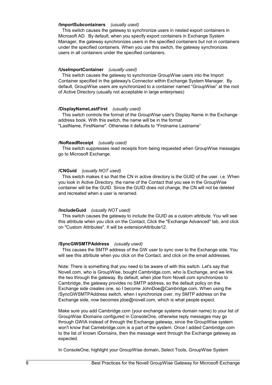#### **/ImportSubcontainers** *(usually used)*

This switch causes the gateway to synchronize users in nested export containers in Microsoft AD. By default, when you specify export containers in Exchange System Manager, the gateway synchronizes users in the specified containers but not in containers under the specified containers. When you use this switch, the gateway synchronizes users in all containers under the specified containers.

#### **/UseImportContainer** *(usually used)*

This switch causes the gateway to synchronize GroupWise users into the Import Container specified in the gateway's Connector within Exchange System Manager. By default, GroupWise users are synchronized to a container named "GroupWise" at the root of Active Directory (usually not acceptable in large enterprises)

#### **/DisplayNameLastFirst** *(usually used)*

This switch controls the format of the GroupWise user's Display Name in the Exchange address book. With this switch, the name will be in the format "LastName, FirstName". Otherwise it defaults to "Firstname Lastname"

#### **/NoReadReceipt** *(usually used)*

This switch suppresses read receipts from being requested when GroupWise messages go to Microsoft Exchange.

#### **/CNGuid** *(usually NOT used)*

This switch makes it so that the CN in active directory is the GUID of the user. i.e. When you look in Active Directory, the name of the Contact that you see in the GroupWise container will be the GUID. Since the GUID does not change, the CN will not be deleted and recreated when a user is renamed.

#### **/IncludeGuid** *(usually NOT used)*

This switch causes the gateway to include the GUID as a custom attribute. You will see this attribute when you click on the Contact, Click the "Exchange Advanced" tab, and click on "Custom Attributes". It will be extensionAttribute12.

#### **/SyncGWSMTPAddress** *(usually used)*

This causes the SMTP address of the GW user to sync over to the Exchange side. You will see this attribute when you click on the Contact, and click on the email addresses.

Note: There is something that you need to be aware of with this switch. Let's say that Novell.com, who is GroupWise, bought Cambridge.com, who is Exchange, and we link the two through the gateway. By default, when jdoe from Novell.com synchronizes to Cambridge, the gateway provides no SMTP address, so the default policy on the Exchange side creates one, so I become JohnDoe@Cambridge.com. When using the /SyncGWSMTPAddress switch, when I synchronize over, my SMTP address on the Exchange side, now becomes jdoe@novell.com, which is what people expect.

Make sure you add Cambridge.com (your exchange systems domain name) to your list of GroupWise IDomains configured in ConsoleOne, otherwise reply messages may go through GWIA instead of through the Exchange gateway, since the GroupWise system won't know that Camebridge.com is a part of the system. Once I added Cambridge.com to the list of known IDomains, then the message went through the Exchange gateway as expected.

In ConsoleOne, highlight your GroupWise domain, Select Tools, GroupWise System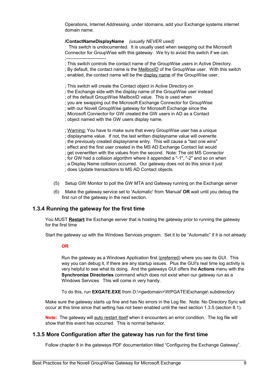Operations, Internet Addressing, under Idomains, add your Exchange systems internet domain name.

### **/ContactNameDisplayName** *(usually NEVER used)*

This switch is undocumented. It is usually used when swapping out the Microsoft Connector for GroupWise with this gateway. We try to avoid this switch if we can.

;--------------------------

- ; This switch controls the contact name of the GroupWise users in Active Directory.
- ; By default, the contact name is the MailboxID of the GroupWise user. With this switch
- ; enabled, the contact name will be the display name of the GroupWise user.
- ; This switch will create the Contact object in Active Directory on
- ; the Exchange side with the display name of the GroupWise user instead
- ; of the default GroupWise MailboxID value. This is used when
- ; you are swapping out the Microsoft Exchange Connector for GroupWise
- ; with our Novell GroupWise gateway for Microsoft Exchange since the
- ; Microsoft Connector for GW created the GW users in AD as a Contact
- ; object named with the GW users display name.

; Warning: You have to make sure that every GroupWise user has a unique ; displayname value. If not, the last written displayname value will overwrite ; the previously created displayname entry. This will cause a "last one wins" ; effect and the first user created in the MS AD Exchange Contact list would ; get overwritten with the values from the second. Note: The old MS Connector ; for GW had a collision algorithm where it appended a "-1", "-2" and so on when ; a Display Name collision occurred. Our gateway does not do this since it just ; does Update transactions to MS AD Contact objects.

- (5) Setup GW Monitor to poll the GW MTA and Gateway running on the Exchange server
- (6) Make the gateway service set to 'Automatic' from 'Manual' **OR** wait until you debug the first run of the gateway in the next section.

### **1.3.4 Running the gateway for the first time**

<span id="page-10-1"></span>You MUST **Restart** the Exchange server that is hosting the gateway prior to running the gateway for the first time

Start the gateway up with the Windows Services program. Set it to be "Automatic" if it is not already

#### **OR**

Run the gateway as a Windows Application first (preferred) where you see its GUI. This way you can debug it, if there are any startup issues. Plus the GUI's real time log activity is very helpful to see what its doing. And the gateways GUI offers the **Actions** menu with the **Synchronize Directories** command which does not exist when our gateway run as a Windows Services This will come in very handy.

To do this, run **EXGATE.EXE** from D:\<gwdomain>\WPGATE\Exchange\ subdirectory

Make sure the gateway starts up fine and has No errors in the Log file. Note: No Directory Sync will occur at this time since that setting has not been enabled until the next section 1.3.5 (section 8.1).

**Note:** The gateway will auto restart itself when it encounters an error condition. The log file will show that this event has occurred. This is normal behavior.

### **1.3.5 More Configuration after the gateway has run for the first time**

<span id="page-10-0"></span>Follow chapter 8 in the gateways PDF documentation titled "Configuring the Exchange Gateway".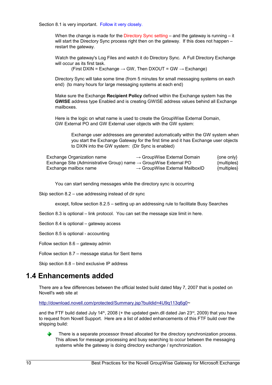Section 8.1 is very important. Follow it very closely.

When the change is made for the Directory Sync setting  $-$  and the gateway is running  $-$  it will start the Directory Sync process right then on the gateway. If this does not happen – restart the gateway.

Watch the gateway's Log Files and watch it do Directory Sync. A Full Directory Exchange will occur as its first task.

(First DXIN = Exchange  $\rightarrow$  GW, Then DXOUT = GW  $\rightarrow$  Exchange)

Directory Sync will take some time (from 5 minutes for small messaging systems on each end) (to many hours for large messaging systems at each end)

Make sure the Exchange **Recipient Policy** defined within the Exchange system has the **GWISE** address type Enabled and is creating GWISE address values behind all Exchange mailboxes.

Here is the logic on what name is used to create the GroupWise External Domain, GW External PO and GW External user objects with the GW system:

Exchange user addresses are generated automatically within the GW system when you start the Exchange Gateway for the first time and it has Exchange user objects to DXIN into the GW system: (Dir Sync is enabled)

| Exchange Organization name                                                    | $\rightarrow$ GroupWise External Domain    | $\{one only\}$ |
|-------------------------------------------------------------------------------|--------------------------------------------|----------------|
| Exchange Site (Administrative Group) name $\rightarrow$ GroupWise External PO |                                            | {multiples}    |
| Exchange mailbox name                                                         | $\rightarrow$ GroupWise External MailboxID | ${multiples}$  |

You can start sending messages while the directory sync is occurring

Skip section 8.2 – use addressing instead of dir sync

except, follow section 8.2.5 – setting up an addressing rule to facilitate Busy Searches

Section 8.3 is optional – link protocol. You can set the message size limit in here.

Section 8.4 is optional – gateway access

Section 8.5 is optional - accounting

Follow section 8.6 – gateway admin

Follow section 8.7 – message status for Sent Items

<span id="page-11-0"></span>Skip section 8.8 – bind exclusive IP address

### **1.4 Enhancements added**

There are a few differences between the official tested build dated May 7, 2007 that is posted on Novell's web site at

http://download.novell.com/protected/Summary.jsp?buildid=4U9q113q6q0~

and the FTF build dated July 14<sup>th</sup>, 2008 (+ the updated gwin.dll dated Jan 23<sup>rd</sup>, 2009) that you have to request from Novell Support. Here are a list of added enhancements of this FTF build over the shipping build:

There is a separate processor thread allocated for the directory synchronization process. This allows for message processing and busy searching to occur between the messaging systems while the gateway is doing directory exchange / synchronization.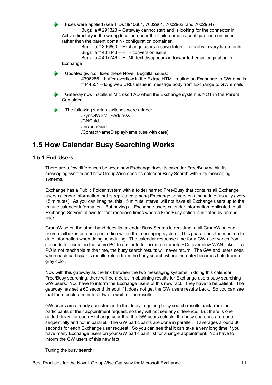Fixes were applied (see TIDs 3940684, 7002961, 7002962, and 7002964)

Bugzilla # 291323 – Gateway cannot start and is looking for the connector in Active directory in the wrong location under the Child domain / configuration container rather then the parent domain / configuration container.

Bugzilla # 396860 – Exchange users receive Internet email with very large fonts Bugzilla # 403443 – RTF conversion issue

Bugzilla # 407746 – HTML text disappears in forwarded email originating in Exchange

Updated gwin.dll fixes these Novell Bugzilla issues:

#396286 – buffer overflow in the ExtractHTML routine on Exchange to GW emails #444551 – long web URLs issue in message body from Exchange to GW emails

Gateway now installs in Microsoft AD when the Exchange system is NOT in the Parent **Container** 

The following startup switches were added:

/SyncGWSMTPAddress /CNGuid /IncludeGuid /ContactNameDisplayName (use with care)

# <span id="page-12-1"></span>**1.5 How Calendar Busy Searching Works**

### **1.5.1 End Users**

<span id="page-12-0"></span>There are a few differences between how Exchange does its calendar Free/Busy within its messaging system and how GroupWise does its calendar Busy Search within its messaging systems.

Exchange has a Public Folder system with a folder named Free/Busy that contains all Exchange users calendar information that is replicated among Exchange servers on a schedule (usually every 15 minutes). As you can imagine, this 15 minute interval will not have all Exchange users up to the minute calender information. But having all Exchange users calendar information replicated to all Exchange Servers allows for fast response times when a Free/Busy action is initiated by an end user.

GroupWise on the other hand does its calendar Busy Search in real time to all GroupWise end users mailboxes on each post office within the messaging system. This guarantees the most up to date information when doing scheduling. The calendar response time for a GW user varies from seconds for users on the same PO to a minute for users on remote POs over slow WAN links. If a PO is not reachable at the time, the busy search results will never return. The GW end users sees when each participants results return from the busy search where the entry becomes bold from a gray color.

Now with this gateway as the link between the two messaging systems in doing this calendar Free/Busy searching, there will be a delay in obtaining results for Exchange users busy searching GW users. You have to inform the Exchange users of this new fact. They have to be patient. The gateway has set a 60 second timeout if it does not get the GW users results back. So you can see that there could a minute or two to wait for the results.

GW users are already accustomed to the delay in getting busy search results back from the participants of their appointment request, so they will not see any difference. But there is one added delay, for each Exchange user that the GW users selects, the busy searches are done sequentially and not in parallel. The GW participants are done in parallel. It averages around 30 seconds for each Exchange user request. So you can see that it can take a very long time if you have many Exchange users on your GW participant list for a single appointment. You have to inform the GW users of this new fact.

### Tuning the busy search: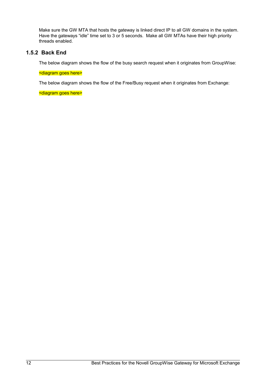Make sure the GW MTA that hosts the gateway is linked direct IP to all GW domains in the system. Have the gateways "idle" time set to 3 or 5 seconds. Make all GW MTAs have their high priority threads enabled.

### **1.5.2 Back End**

<span id="page-13-0"></span>The below diagram shows the flow of the busy search request when it originates from GroupWise:

### <diagram goes here>

The below diagram shows the flow of the Free/Busy request when it originates from Exchange:

<diagram goes here>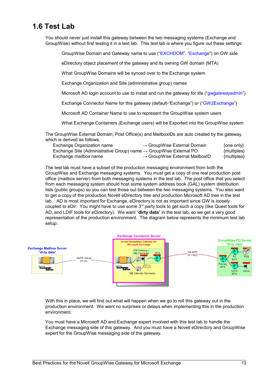# <span id="page-14-0"></span>**1.6 Test Lab**

You should never just install this gateway between the two messaging systems (Exchange and GroupWise) without first testing it in a test lab. This test lab is where you figure out these settings:

GroupWise Domain and Gateway name to use ("EXCHDOM", "Exchange") on GW side

eDirectory object placement of the gateway and its owning GW domain (MTA)

What GroupWise Domains will be synced over to the Exchange system

Exchange Organization and Site (administrative group) names

Microsoft AD login account to use to install and run the gateway for life ("gwgatewayadmin")

Exchange Connector Name for this gateway (default-"Exchange") or ("GW2Exchange")

Microsoft AD Container Name to use to represent the GroupWise system users

What Exchange Containers (Exchange users) will be Exported into the GroupWise system

The GroupWise External Domain, Post Office(s) and MailboxIDs are auto created by the gateway, which is derived as follows:

| Exchange Organization name                                                    | $\rightarrow$ GroupWise External Domain    | {one only}  |
|-------------------------------------------------------------------------------|--------------------------------------------|-------------|
| Exchange Site (Administrative Group) name $\rightarrow$ GroupWise External PO |                                            | {multiples} |
| Exchange mailbox name                                                         | $\rightarrow$ GroupWise External MailboxID | {multiples} |

The test lab must have a subset of the production messaging environment from both the GroupWise and Exchange messaging systems. You must get a copy of one real production post office (mailbox server) from both messaging systems in the test lab. The post office that you select from each messaging system should host some system address book (GAL) system distribution lists (public groups) so you can test those out between the two messaging systems. You also want to get a copy of the production Novell eDirectory tree and production Microsoft AD tree in the test lab. AD is most important for Exchange, eDirectory is not as important since GW is loosely coupled to eDir. You might have to use some  $3<sup>rd</sup>$  party tools to get such a copy (like Quest tools for AD, and LDIF tools for eDirectory). We want "**dirty data**" in the test lab, so we get a very good representation of the production environment. The diagram below represents the minimum test lab setup:



With this in place, we will find out what will happen when we go to roll this gateway out in the production environment. We want no surprises or delays when implementing this in the production environment.

You must have a Microsoft AD and Exchange expert involved with this test lab to handle the Exchange messaging side of this gateway. And you must have a Novell eDirectory and GroupWise expert for the GroupWise messaging side of the gateway.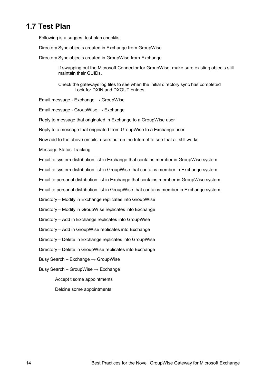# <span id="page-15-0"></span>**1.7 Test Plan**

Following is a suggest test plan checklist

Directory Sync objects created in Exchange from GroupWise

Directory Sync objects created in GroupWise from Exchange

If swapping out the Microsoft Connector for GroupWise, make sure existing objects still maintain their GUIDs.

Check the gateways log files to see when the initial directory sync has completed Look for DXIN and DXOUT entries

Email message - Exchange  $\rightarrow$  GroupWise

Email message - GroupWise → Exchange

Reply to message that originated in Exchange to a GroupWise user

Reply to a message that originated from GroupWise to a Exchange user

Now add to the above emails, users out on the Internet to see that all still works

Message Status Tracking

Email to system distribution list in Exchange that contains member in GroupWise system

Email to system distribution list in GroupWise that contains member in Exchange system

Email to personal distribution list in Exchange that contains member in GroupWise system

Email to personal distribution list in GroupWise that contains member in Exchange system

Directory – Modify in Exchange replicates into GroupWise

Directory – Modify in GroupWise replicates into Exchange

Directory – Add in Exchange replicates into GroupWise

Directory – Add in GroupWise replicates into Exchange

Directory – Delete in Exchange replicates into GroupWise

Directory – Delete in GroupWise replicates into Exchange

Busy Search – Exchange  $\rightarrow$  GroupWise

Busy Search – GroupWise  $\rightarrow$  Exchange

Accept t some appointments

Delcine some appointments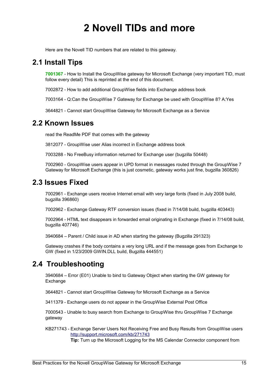# <span id="page-16-4"></span>**2 Novell TIDs and more**

<span id="page-16-3"></span>Here are the Novell TID numbers that are related to this gateway.

## **2.1 Install Tips**

**7001367** - How to Install the GroupWise gateway for Microsoft Exchange (very important TID, must follow every detail) This is reprinted at the end of this document.

7002872 - How to add additional GroupWise fields into Exchange address book

7003164 - Q:Can the GroupWise 7 Gateway for Exchange be used with GroupWise 8? A:Yes

<span id="page-16-2"></span>3644821 - Cannot start GroupWise Gateway for Microsoft Exchange as a Service

## **2.2 Known Issues**

read the ReadMe PDF that comes with the gateway

3812077 - GroupWise user Alias incorrect in Exchange address book

7003288 - No FreeBusy information returned for Exchange user (bugzilla 50448)

7002960 - GroupWise users appear in UPD format in messages routed through the GroupWise 7 Gateway for Microsoft Exchange (this is just cosmetic, gateway works just fine, bugzilla 360826)

## <span id="page-16-1"></span>**2.3 Issues Fixed**

7002961 - Exchange users receive Internet email with very large fonts (fixed in July 2008 build, bugzilla 396860)

7002962 - Exchange Gateway RTF conversion issues (fixed in 7/14/08 build, bugzilla 403443)

7002964 - HTML text disappears in forwarded email originating in Exchange (fixed in 7/14/08 build, bugzilla 407746)

3940684 – Parent / Child issue in AD when starting the gateway (Bugzilla 291323)

Gateway crashes if the body contains a very long URL and if the message goes from Exchange to GW (fixed in 1/23/2009 GWIN.DLL build, Bugzilla 444551)

## <span id="page-16-0"></span>**2.4 Troubleshooting**

3940684 – Error (E01) Unable to bind to Gateway Object when starting the GW gateway for Exchange

3644821 - Cannot start GroupWise Gateway for Microsoft Exchange as a Service

3411379 - Exchange users do not appear in the GroupWise External Post Office

7000543 - Unable to busy search from Exchange to GroupWise thru GroupWise 7 Exchange gateway

KB271743 - Exchange Server Users Not Receiving Free and Busy Results from GroupWise users <http://support.microsoft.com/kb/271743>

**Tip:** Turn up the Microsoft Logging for the MS Calendar Connector component from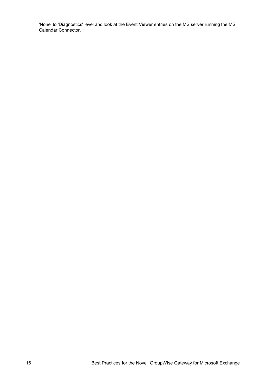'None' to 'Diagnostics' level and look at the Event Viewer entries on the MS server running the MS Calendar Connector.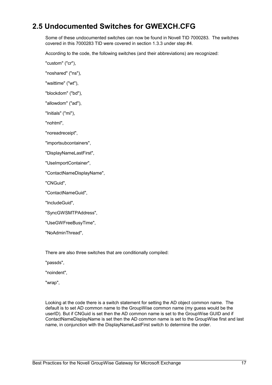# <span id="page-18-0"></span>**2.5 Undocumented Switches for GWEXCH.CFG**

Some of these undocumented switches can now be found in Novell TID 7000283. The switches covered in this 7000283 TID were covered in section 1.3.3 under step #4.

According to the code, the following switches (and their abbreviations) are recognized:

"custom" ("cr"),

"noshared" ("ns"),

"waittime" ("wt"),

"blockdom" ("bd"),

"allowdom" ("ad"),

"Initials" ("mi"),

"nohtml",

"noreadreceipt",

"importsubcontainers",

"DisplayNameLastFirst",

"UseImportContainer",

"ContactNameDisplayName",

"CNGuid",

"ContactNameGuid",

"IncludeGuid",

"SyncGWSMTPAddress",

"UseGWFreeBusyTime",

"NoAdminThread",

There are also three switches that are conditionally compiled:

"passds",

"noindent",

"wrap",

Looking at the code there is a switch statement for setting the AD object common name. The default is to set AD common name to the GroupWise common name (my guess would be the userID). But if CNGuid is set then the AD common name is set to the GroupWise GUID and if ContactNameDisplayName is set then the AD common name is set to the GroupWise first and last name, in conjunction with the DisplayNameLastFirst switch to determine the order.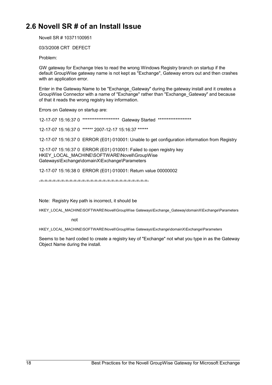# <span id="page-19-0"></span>**2.6 Novell SR # of an Install Issue**

Novell SR # 10371100951

03/3/2008 CRT DEFECT

Problem:

GW gateway for Exchange tries to read the wrong Windows Registry branch on startup if the default GroupWise gateway name is not kept as "Exchange", Gateway errors out and then crashes with an application error.

Enter in the Gateway Name to be "Exchange\_Gateway" during the gateway install and it creates a GroupWise Connector with a name of "Exchange" rather than "Exchange\_Gateway" and because of that it reads the wrong registry key information.

Errors on Gateway on startup are:

12-17-07 15:16:37 0 \*\*\*\*\*\*\*\*\*\*\*\*\*\*\*\*\*\*\*\*\* Gateway Started \*\*\*\*\*\*\*\*\*\*\*\*\*\*\*\*\*\*\*

12-17-07 15:16:37 0 \*\*\*\*\*\* 2007-12-17 15:16:37 \*\*\*\*\*\*

12-17-07 15:16:37 0 ERROR (E01) 010001: Unable to get configuration information from Registry

12-17-07 15:16:37 0 ERROR (E01) 010001: Failed to open registry key HKEY\_LOCAL\_MACHINE\SOFTWARE\Novell\GroupWise Gateways\Exchange\domainX\Exchange\Parameters

12-17-07 15:16:38 0 ERROR (E01) 010001: Return value 00000002

-=-=-=-=-=-=-=-=-=-=-=-=-=-=-=-=-=-=-=-=-=-=-=-=-=-=-

Note: Registry Key path is incorrect, it should be

HKEY\_LOCAL\_MACHINE\SOFTWARE\Novell\GroupWise Gateways\Exchange\_Gateway\domainX\Exchange\Parameters

not

HKEY\_LOCAL\_MACHINE\SOFTWARE\Novell\GroupWise Gateways\Exchange\domainX\Exchange\Parameters

Seems to be hard coded to create a registry key of "Exchange" not what you type in as the Gateway Object Name during the install.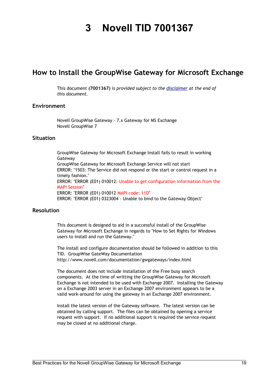# <span id="page-20-1"></span><span id="page-20-0"></span>**3 Novell TID 7001367**

## **How to Install the GroupWise Gateway for Microsoft Exchange**

This document **(7001367)** *is provided subject to the [disclaimer](#page-20-1) at the end of this document.*

### **Environment**

Novell GroupWise Gateway - 7.x Gateway for MS Exchange Novell GroupWise 7

### **Situation**

GroupWise Gateway for Microsoft Exchange Install fails to result in working Gateway GroupWise Gateway for Microsoft Exchange Service will not start ERROR: "1503: The Service did not respond or the start or control request in a timely fashion." ERROR: "ERROR (E01) 010012: Unable to get configuration information from the **MAPI Session** ERROR: "ERROR (E01) 010012 MAPI code: 11D" ERROR: "ERROR (E01) 0323004 - Unable to bind to the Gateway Object"

### **Resolution**

This document is designed to aid in a successful install of the GroupWise Gateway for Microsoft Exchange in regards to "How to Set Rights for Windows users to install and run the Gateway."

The install and configure documentation should be followed in addition to this TID. GroupWise GateWay Documentation http://www.novell.com/documentation/gwgateways/index.html

The document does not include installation of the Free busy search components. At the time of writting the GroupWise Gateway for Microsoft Exchange is not intended to be used with Exchange 2007. Installing the Gateway on a Exchange 2003 server in an Exchange 2007 environment appears to be a valid work-around for using the gateway in an Exchange 2007 environment.

Install the latest version of the Gateway software. The latest version can be obtained by calling support. The files can be obtained by opening a service request with support. If no additional support is required the service request may be closed at no additional charge.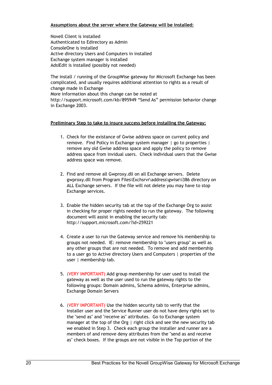### **Assumptions about the server where the Gateway will be installed:**

Novell Client is installed Authenticated to Edirectory as Admin ConsoleOne is installed Active directory Users and Computers in installed Exchange system manager is installed AdsiEdit is installed (possibly not needed)

The install / running of the GroupWise gateway for Microsoft Exchange has been complicated, and usually requires additional attention to rights as a result of change made in Exchange More information about this change can be noted at http://support.microsoft.com/kb/895949 "Send As" permission behavior change in Exchange 2003.

### **Preliminary Step to take to insure success before installing the Gateway:**

- 1. Check for the existance of Gwise address space on current policy and remove. Find Policy in Exchange system manager | go to properties | remove any old Gwise address space and apply the policy to remove address space from invidual users. Check individual users that the Gwise address space was remove.
- 2. Find and remove all Gwproxy.dll on all Exchange servers. Delete gwproxy.dll from Program Files\Exchsrvr\address\gwise\i386 directory on ALL Exchange servers. If the file will not delete you may have to stop Exchange services.
- 3. Enable the hidden security tab at the top of the Exchange Org to assist in checking for proper rights needed to run the gateway. The following document will assist in enabling the security tab: http://support.microsoft.com/?id=259221
- 4. Create a user to run the Gateway service and remove his membership to groups not needed. IE: remove membership to "users group" as well as any other groups that are not needed. To remove and add membership to a user go to Active directory Users and Computers | properties of the user | membership tab.
- 5. (VERY IMPORTANT) Add group membership for user used to install the gateway as well as the user used to run the gateway rights to the following groups: Domain admins, Schema admins, Enterprise admins, Exchange Domain Servers
- 6. (VERY IMPORTANT) Use the hidden security tab to verify that the Installer user and the Service Runner user do not have deny rights set to the "send as" and "receive as" attributes. Go to Exchange system manager at the top of the Org | right click and see the new security tab we enabled in Step 3. Check each group the installer and runner are a members of and remove deny attributes from the "send as and receive as" check boxes. If the groups are not visible in the Top portion of the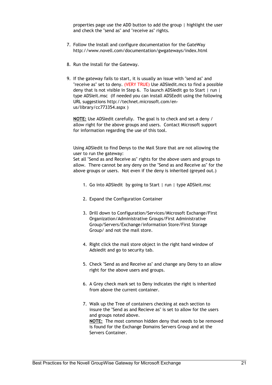properties page use the ADD button to add the group | highlight the user and check the "send as" and "receive as" rights.

- 7. Follow the Install and configure documentation for the GateWay http://www.novell.com/documentation/gwgateways/index.html
- 8. Run the Install for the Gateway.
- 9. If the gateway fails to start, it is usually an issue with "send as" and "receive as" set to deny. (VERY TRUE) Use ADSIedit.mcs to find a possible deny that is not visible in Step 6. To launch ADSIedit go to Start | run | type ADSIeit.msc (If needed you can install ADSEedit using the following URL suggestions http://technet.microsoft.com/enus/library/cc773354.aspx )

**NOTE:** Use ADSIedit carefully. The goal is to check and set a deny / allow right for the above groups and users. Contact Microsoft support for information regarding the use of this tool.

Using ADSIedit to find Denys to the Mail Store that are not allowing the user to run the gateway:

Set all "Send as and Receive as" rights for the above users and groups to allow. There cannot be any deny on the "Send as and Receive as" for the above groups or users. Not even if the deny is inherited (greyed out.)

- 1. Go into ADSIedit by going to Start | run | type ADSIeit.msc
- 2. Expand the Configuration Container
- 3. Drill down to Configuration/Services/Microsoft Exchange/First Organization/Administrative Groups/First Administrative Group/Servers/Exchange/information Store/First Storage Group/ and not the mail store.
- 4. Right click the mail store object in the right hand window of Adsiedit and go to security tab.
- 5. Check "Send as and Receive as" and change any Deny to an allow right for the above users and groups.
- 6. A Grey check mark set to Deny indicates the right is inherited from above the current container.
- 7. Walk up the Tree of containers checking at each section to insure the "Send as and Recieve as" is set to allow for the users and groups noted above. **NOTE:** The most common hidden deny that needs to be removed is found for the Exchange Domains Servers Group and at the Servers Container.